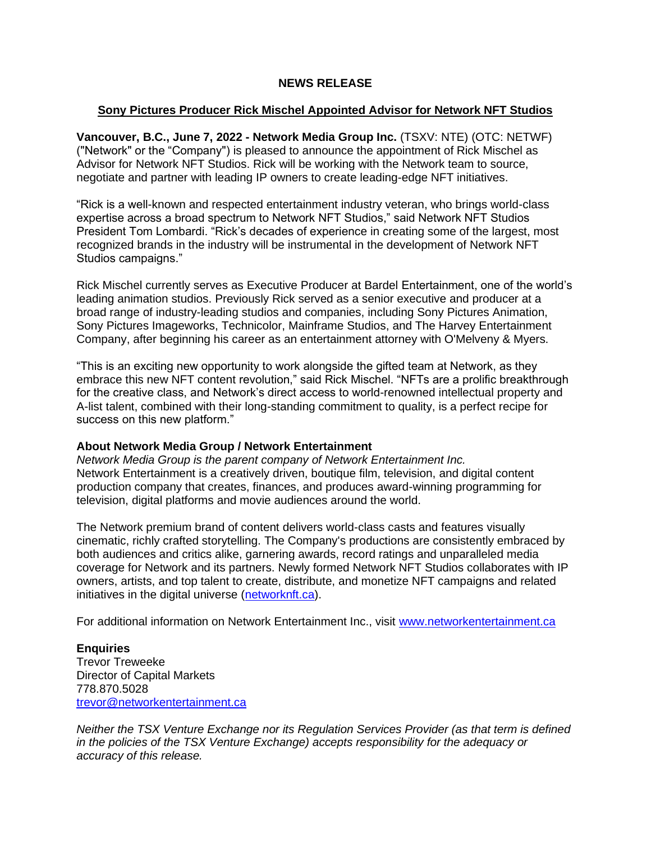## **NEWS RELEASE**

## **Sony Pictures Producer Rick Mischel Appointed Advisor for Network NFT Studios**

**Vancouver, B.C., June 7, 2022 - Network Media Group Inc.** (TSXV: NTE) (OTC: NETWF) ("Network" or the "Company") is pleased to announce the appointment of Rick Mischel as Advisor for Network NFT Studios. Rick will be working with the Network team to source, negotiate and partner with leading IP owners to create leading-edge NFT initiatives.

"Rick is a well-known and respected entertainment industry veteran, who brings world-class expertise across a broad spectrum to Network NFT Studios," said Network NFT Studios President Tom Lombardi. "Rick's decades of experience in creating some of the largest, most recognized brands in the industry will be instrumental in the development of Network NFT Studios campaigns."

Rick Mischel currently serves as Executive Producer at Bardel Entertainment, one of the world's leading animation studios. Previously Rick served as a senior executive and producer at a broad range of industry-leading studios and companies, including Sony Pictures Animation, Sony Pictures Imageworks, Technicolor, Mainframe Studios, and The Harvey Entertainment Company, after beginning his career as an entertainment attorney with O'Melveny & Myers.

"This is an exciting new opportunity to work alongside the gifted team at Network, as they embrace this new NFT content revolution," said Rick Mischel. "NFTs are a prolific breakthrough for the creative class, and Network's direct access to world-renowned intellectual property and A-list talent, combined with their long-standing commitment to quality, is a perfect recipe for success on this new platform."

## **About Network Media Group / Network Entertainment**

*Network Media Group is the parent company of Network Entertainment Inc.* Network Entertainment is a creatively driven, boutique film, television, and digital content production company that creates, finances, and produces award-winning programming for television, digital platforms and movie audiences around the world.

The Network premium brand of content delivers world-class casts and features visually cinematic, richly crafted storytelling. The Company's productions are consistently embraced by both audiences and critics alike, garnering awards, record ratings and unparalleled media coverage for Network and its partners. Newly formed Network NFT Studios collaborates with IP owners, artists, and top talent to create, distribute, and monetize NFT campaigns and related initiatives in the digital universe [\(networknft.ca\)](http://networknft.ca/).

For additional information on Network Entertainment Inc., visit [www.networkentertainment.ca](http://www.networkentertainment.ca/)

**Enquiries** Trevor Treweeke Director of Capital Markets 778.870.5028 [trevor@networkentertainment.ca](mailto:trevor@networkentertainment.ca)

*Neither the TSX Venture Exchange nor its Regulation Services Provider (as that term is defined in the policies of the TSX Venture Exchange) accepts responsibility for the adequacy or accuracy of this release.*